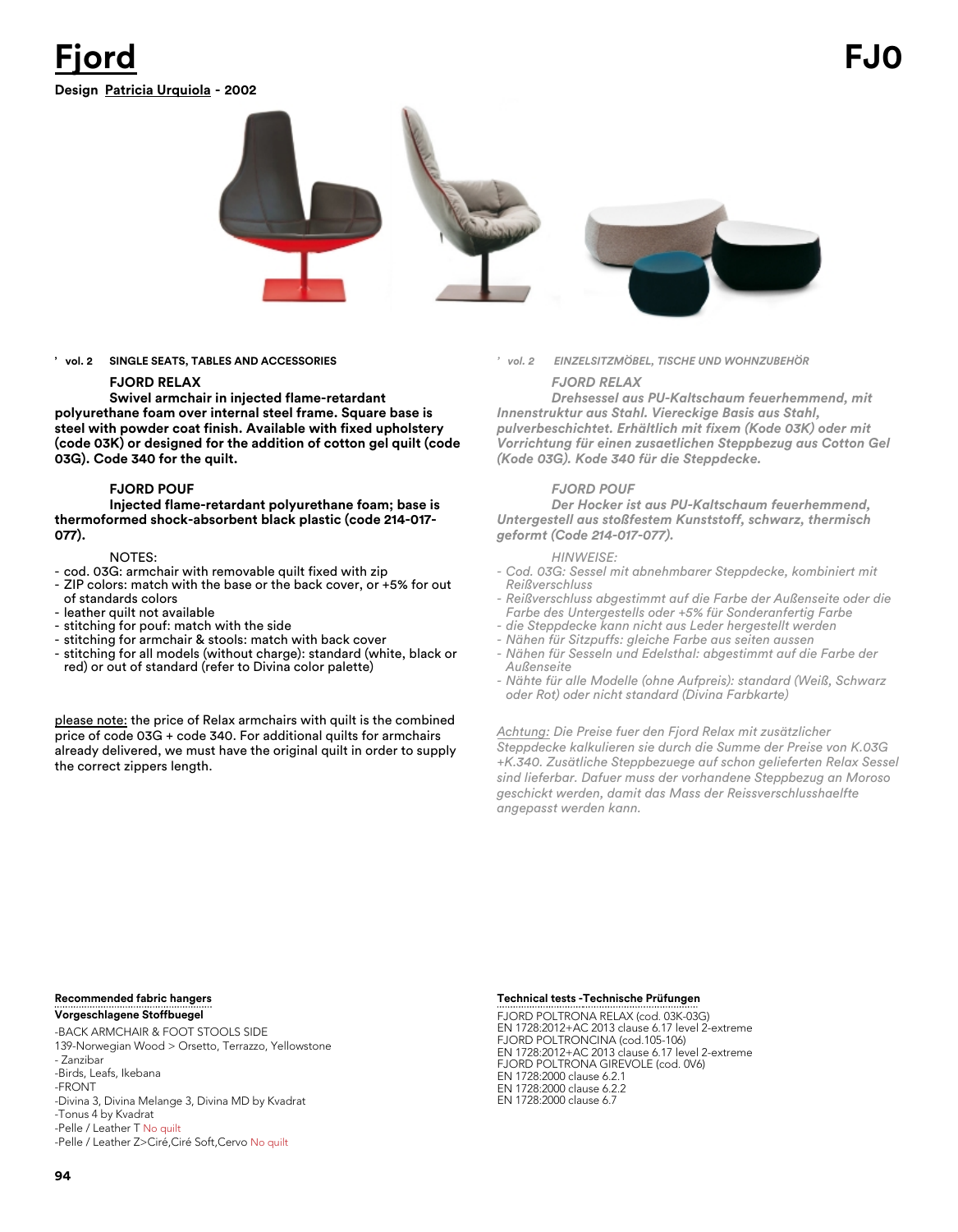## **Design Patricia Urquiola - 2002 Fjord FJ0**



**' vol. 2 SINGLE SEATS, TABLES AND ACCESSORIES**

#### **FJORD RELAX**

**Swivel armchair in injected flame-retardant polyurethane foam over internal steel frame. Square base is steel with powder coat finish. Available with fixed upholstery (code 03K) or designed for the addition of cotton gel quilt (code 03G). Code 340 for the quilt.** 

#### **FJORD POUF**

**Injected flame-retardant polyurethane foam; base is thermoformed shock-absorbent black plastic (code 214-017- 077).**

#### NOTES:

- cod. 03G: armchair with removable quilt fixed with zip
- ZIP colors: match with the base or the back cover, or +5% for out of standards colors
- leather quilt not available
- stitching for pouf: match with the side
- stitching for armchair & stools: match with back cover
- stitching for all models (without charge): standard (white, black or red) or out of standard (refer to Divina color palette)

please note: the price of Relax armchairs with quilt is the combined price of code 03G + code 340. For additional quilts for armchairs already delivered, we must have the original quilt in order to supply the correct zippers length.

*' vol. 2 EINZELSITZMÖBEL, TISCHE UND WOHNZUBEHÖR*

#### *FJORD RELAX*

*Drehsessel aus PU-Kaltschaum feuerhemmend, mit Innenstruktur aus Stahl. Viereckige Basis aus Stahl, pulverbeschichtet. Erhältlich mit fixem (Kode 03K) oder mit Vorrichtung für einen zusaetlichen Steppbezug aus Cotton Gel (Kode 03G). Kode 340 für die Steppdecke.*

#### *FJORD POUF*

*Der Hocker ist aus PU-Kaltschaum feuerhemmend, Untergestell aus stoßfestem Kunststoff, schwarz, thermisch geformt (Code 214-017-077).*

#### *HINWEISE:*

- *Cod. 03G: Sessel mit abnehmbarer Steppdecke, kombiniert mit Reißverschluss*
- *Reißverschluss abgestimmt auf die Farbe der Außenseite oder die Farbe des Untergestells oder +5% für Sonderanfertig Farbe*
- *die Steppdecke kann nicht aus Leder hergestellt werden*
- *Nähen für Sitzpuffs: gleiche Farbe aus seiten aussen*
- *Nähen für Sesseln und Edelsthal: abgestimmt auf die Farbe der Außenseite*
- *Nähte für alle Modelle (ohne Aufpreis): standard (Weiß, Schwarz oder Rot) oder nicht standard (Divina Farbkarte)*

*Achtung: Die Preise fuer den Fjord Relax mit zusätzlicher Steppdecke kalkulieren sie durch die Summe der Preise von K.03G +K.340. Zusätliche Steppbezuege auf schon gelieferten Relax Sessel sind lieferbar. Dafuer muss der vorhandene Steppbezug an Moroso geschickt werden, damit das Mass der Reissverschlusshaelfte angepasst werden kann.*

#### **Recommended fabric hangers Vorgeschlagene Stoffbuegel**

-BACK ARMCHAIR & FOOT STOOLS SIDE 139-Norwegian Wood > Orsetto, Terrazzo, Yellowstone - Zanzibar -Birds, Leafs, Ikebana -FRONT -Divina 3, Divina Melange 3, Divina MD by Kvadrat -Tonus 4 by Kvadrat -Pelle / Leather T No quilt -Pelle / Leather Z>Ciré,Ciré Soft,Cervo No quilt

### **Technische Prüfungen**

FJORD POLTRONA RELAX (cod. 03K-03G) EN 1728:2012+AC 2013 clause 6.17 level 2-extreme FJORD POLTRONCINA (cod.105-106) EN 1728:2012+AC 2013 clause 6.17 level 2-extreme FJORD POLTRONA GIREVOLE (cod. 0V6) EN 1728:2000 clause 6.2.1 EN 1728:2000 clause 6.2.2 EN 1728:2000 clause 6.7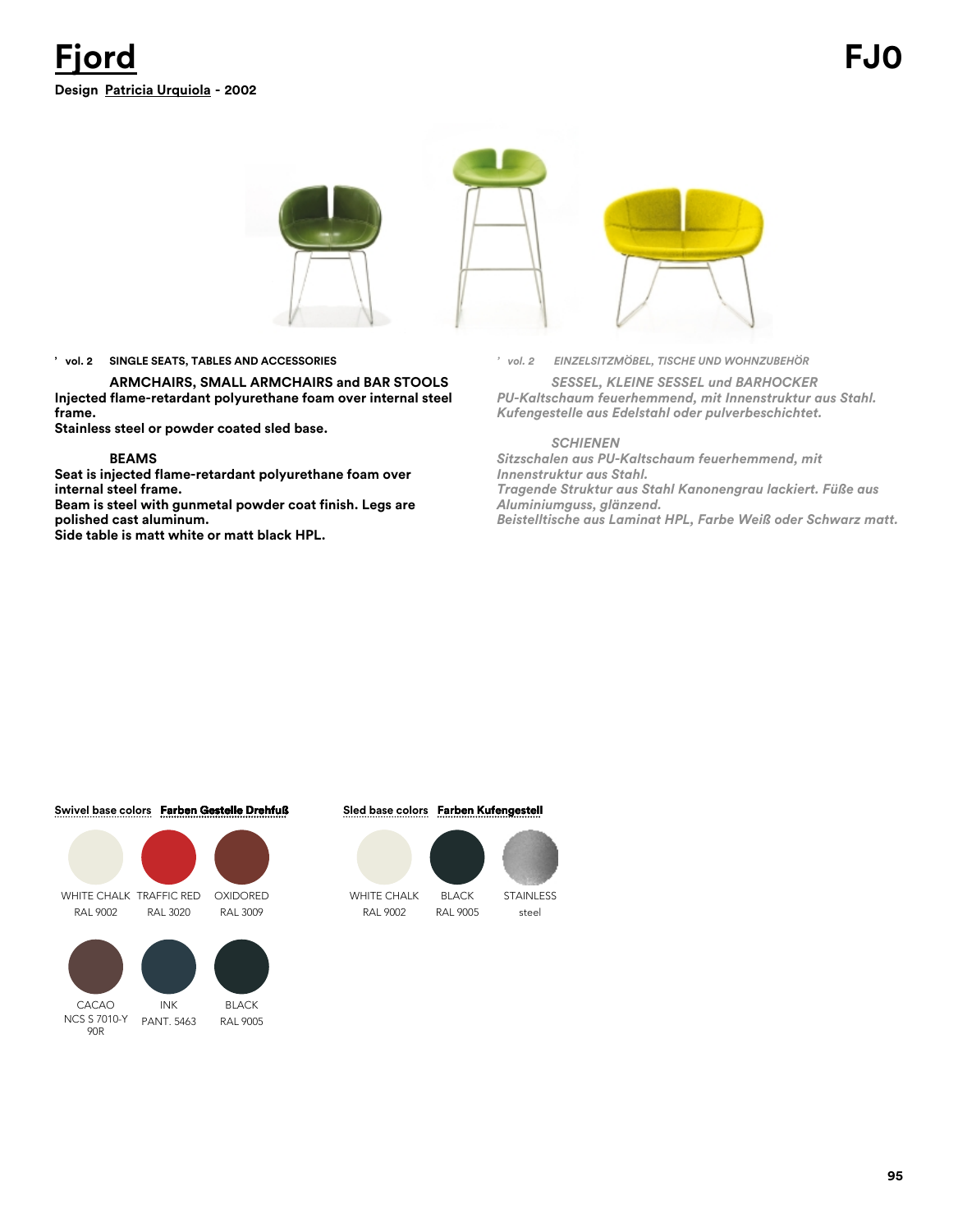

### **' vol. 2 SINGLE SEATS, TABLES AND ACCESSORIES**

**ARMCHAIRS, SMALL ARMCHAIRS and BAR STOOLS Injected flame-retardant polyurethane foam over internal steel frame.**

**Stainless steel or powder coated sled base.** 

#### **BEAMS**

**Seat is injected flame-retardant polyurethane foam over internal steel frame.**

**Beam is steel with gunmetal powder coat finish. Legs are polished cast aluminum.**

**Side table is matt white or matt black HPL.**

*' vol. 2 EINZELSITZMÖBEL, TISCHE UND WOHNZUBEHÖR*

*SESSEL, KLEINE SESSEL und BARHOCKER PU-Kaltschaum feuerhemmend, mit Innenstruktur aus Stahl. Kufengestelle aus Edelstahl oder pulverbeschichtet.*

#### *SCHIENEN*

*Sitzschalen aus PU-Kaltschaum feuerhemmend, mit Innenstruktur aus Stahl. Tragende Struktur aus Stahl Kanonengrau lackiert. Füße aus Aluminiumguss, glänzend. Beistelltische aus Laminat HPL, Farbe Weiß oder Schwarz matt.*

#### **Swivel base colors Farben Gestelle Drehfuß**



NCS S 7010-Y 90R

PANT. 5463 RAL 9005

### **Sled base colors Farben Kufengestell**



WHITE CHALK RAL 9002



steel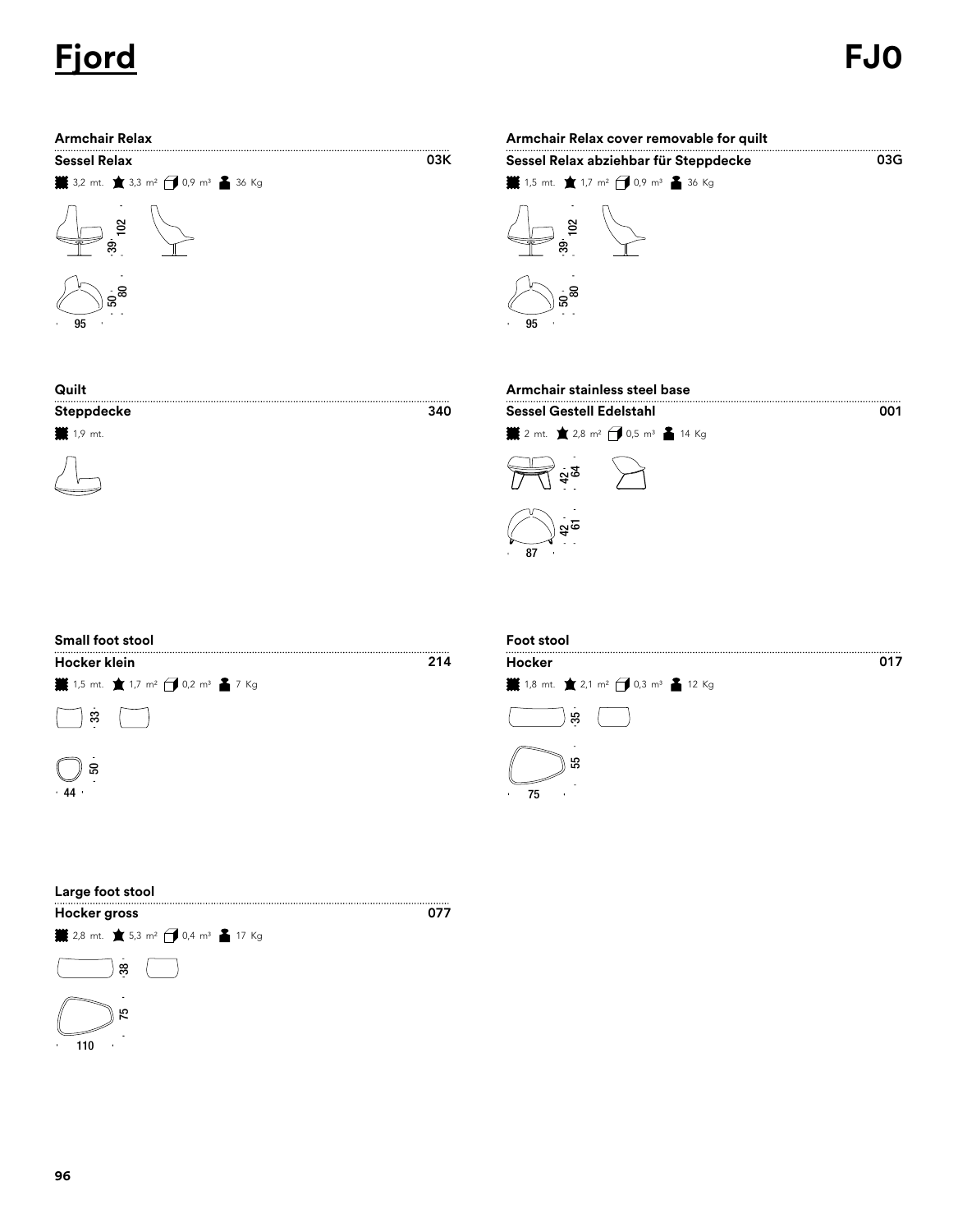## **Fjord FJ0**



| Armchair Relax                                                     |     | Armchair Relax cover removable for quilt                           |     |
|--------------------------------------------------------------------|-----|--------------------------------------------------------------------|-----|
| Sessel Relax                                                       | 03K | Sessel Relax abziehbar für Steppdecke                              | 03G |
| <b>※</b> 3,2 mt. ★ 3,3 m <sup>2</sup> → 0,9 m <sup>3</sup> ▲ 36 Kg |     | <b>i</b> 1,5 mt. ★ 1,7 m <sup>2</sup> → 0,9 m <sup>3</sup> ▲ 36 Kg |     |
| ౙ                                                                  |     | ຮ                                                                  |     |
|                                                                    |     |                                                                    |     |

| Quilt            |     | Armchair stainless steel base                                    |     |
|------------------|-----|------------------------------------------------------------------|-----|
| Steppdecke       | 340 | <b>Sessel Gestell Edelstahl</b>                                  | 001 |
| <b>₩</b> 1,9 mt. |     | <b>. 2</b> mt. ★ 2,8 m <sup>2</sup> ● 0,5 m <sup>3</sup> ▲ 14 Kg |     |
|                  |     | ನಿ                                                               |     |
|                  |     | নত                                                               |     |

95

| <b>Small foot stool</b>                                            |     | Foot st<br>Hocker |
|--------------------------------------------------------------------|-----|-------------------|
| Hocker klein                                                       | 214 |                   |
| <b>. </b> 1,5 mt. ★ 1,7 m <sup>2</sup> → 0,2 m <sup>3</sup> ▲ 7 Kg |     | <b>¥</b> 1,8 mt   |
| జ                                                                  |     |                   |
| ន<br>.44                                                           |     | 75                |
|                                                                    |     |                   |



| Large foot stool<br><b>Hocker gross</b>                            | n77 |
|--------------------------------------------------------------------|-----|
| <b>¥</b> 2,8 mt. ★ 5,3 m <sup>2</sup> → 0,4 m <sup>3</sup> ▲ 17 Kg |     |
| 38                                                                 |     |
| ಸಿ<br>٠                                                            |     |